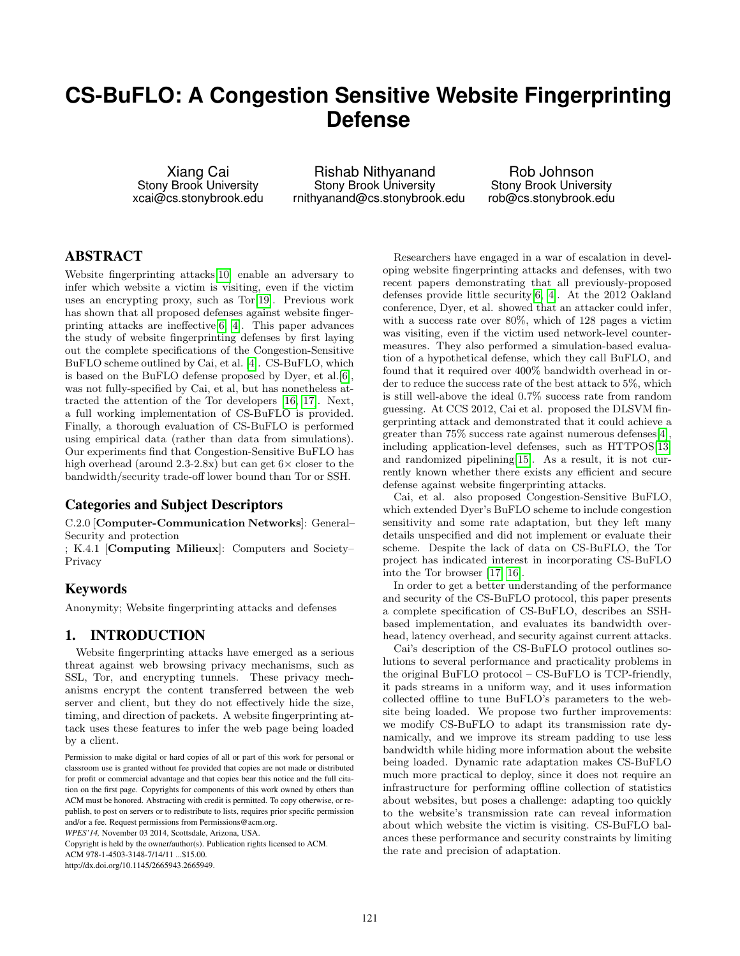# **CS-BuFLO: A Congestion Sensitive Website Fingerprinting Defense**

Xiang Cai Stony Brook University xcai@cs.stonybrook.edu

Rishab Nithyanand Stony Brook University rnithyanand@cs.stonybrook.edu

Rob Johnson Stony Brook University rob@cs.stonybrook.edu

# ABSTRACT

Website fingerprinting attacks[\[10\]](#page-8-0) enable an adversary to infer which website a victim is visiting, even if the victim uses an encrypting proxy, such as Tor[\[19\]](#page-9-0). Previous work has shown that all proposed defenses against website fingerprinting attacks are ineffective[\[6,](#page-8-1) [4\]](#page-8-2). This paper advances the study of website fingerprinting defenses by first laying out the complete specifications of the Congestion-Sensitive BuFLO scheme outlined by Cai, et al. [\[4\]](#page-8-2). CS-BuFLO, which is based on the BuFLO defense proposed by Dyer, et al.[\[6\]](#page-8-1), was not fully-specified by Cai, et al, but has nonetheless attracted the attention of the Tor developers [\[16,](#page-9-1) [17\]](#page-9-2). Next, a full working implementation of CS-BuFLO is provided. Finally, a thorough evaluation of CS-BuFLO is performed using empirical data (rather than data from simulations). Our experiments find that Congestion-Sensitive BuFLO has high overhead (around 2.3-2.8x) but can get  $6 \times$  closer to the bandwidth/security trade-off lower bound than Tor or SSH.

# Categories and Subject Descriptors

C.2.0 [Computer-Communication Networks]: General– Security and protection

; K.4.1 [Computing Milieux]: Computers and Society– Privacy

# Keywords

Anonymity; Website fingerprinting attacks and defenses

# 1. INTRODUCTION

Website fingerprinting attacks have emerged as a serious threat against web browsing privacy mechanisms, such as SSL, Tor, and encrypting tunnels. These privacy mechanisms encrypt the content transferred between the web server and client, but they do not effectively hide the size, timing, and direction of packets. A website fingerprinting attack uses these features to infer the web page being loaded by a client.

*WPES'14,* November 03 2014, Scottsdale, Arizona, USA.

Copyright is held by the owner/author(s). Publication rights licensed to ACM.

http://dx.doi.org/10.1145/2665943.2665949.

Researchers have engaged in a war of escalation in developing website fingerprinting attacks and defenses, with two recent papers demonstrating that all previously-proposed defenses provide little security[\[6,](#page-8-1) [4\]](#page-8-2). At the 2012 Oakland conference, Dyer, et al. showed that an attacker could infer, with a success rate over 80%, which of 128 pages a victim was visiting, even if the victim used network-level countermeasures. They also performed a simulation-based evaluation of a hypothetical defense, which they call BuFLO, and found that it required over 400% bandwidth overhead in order to reduce the success rate of the best attack to 5%, which is still well-above the ideal 0.7% success rate from random guessing. At CCS 2012, Cai et al. proposed the DLSVM fingerprinting attack and demonstrated that it could achieve a greater than 75% success rate against numerous defenses[\[4\]](#page-8-2), including application-level defenses, such as HTTPOS[\[13\]](#page-9-3) and randomized pipelining[\[15\]](#page-9-4). As a result, it is not currently known whether there exists any efficient and secure defense against website fingerprinting attacks.

Cai, et al. also proposed Congestion-Sensitive BuFLO, which extended Dyer's BuFLO scheme to include congestion sensitivity and some rate adaptation, but they left many details unspecified and did not implement or evaluate their scheme. Despite the lack of data on CS-BuFLO, the Tor project has indicated interest in incorporating CS-BuFLO into the Tor browser [\[17,](#page-9-2) [16\]](#page-9-1).

In order to get a better understanding of the performance and security of the CS-BuFLO protocol, this paper presents a complete specification of CS-BuFLO, describes an SSHbased implementation, and evaluates its bandwidth overhead, latency overhead, and security against current attacks.

Cai's description of the CS-BuFLO protocol outlines solutions to several performance and practicality problems in the original BuFLO protocol – CS-BuFLO is TCP-friendly, it pads streams in a uniform way, and it uses information collected offline to tune BuFLO's parameters to the website being loaded. We propose two further improvements: we modify CS-BuFLO to adapt its transmission rate dynamically, and we improve its stream padding to use less bandwidth while hiding more information about the website being loaded. Dynamic rate adaptation makes CS-BuFLO much more practical to deploy, since it does not require an infrastructure for performing offline collection of statistics about websites, but poses a challenge: adapting too quickly to the website's transmission rate can reveal information about which website the victim is visiting. CS-BuFLO balances these performance and security constraints by limiting the rate and precision of adaptation.

Permission to make digital or hard copies of all or part of this work for personal or classroom use is granted without fee provided that copies are not made or distributed for profit or commercial advantage and that copies bear this notice and the full citation on the first page. Copyrights for components of this work owned by others than ACM must be honored. Abstracting with credit is permitted. To copy otherwise, or republish, to post on servers or to redistribute to lists, requires prior specific permission and/or a fee. Request permissions from Permissions@acm.org.

ACM 978-1-4503-3148-7/14/11 ...\$15.00.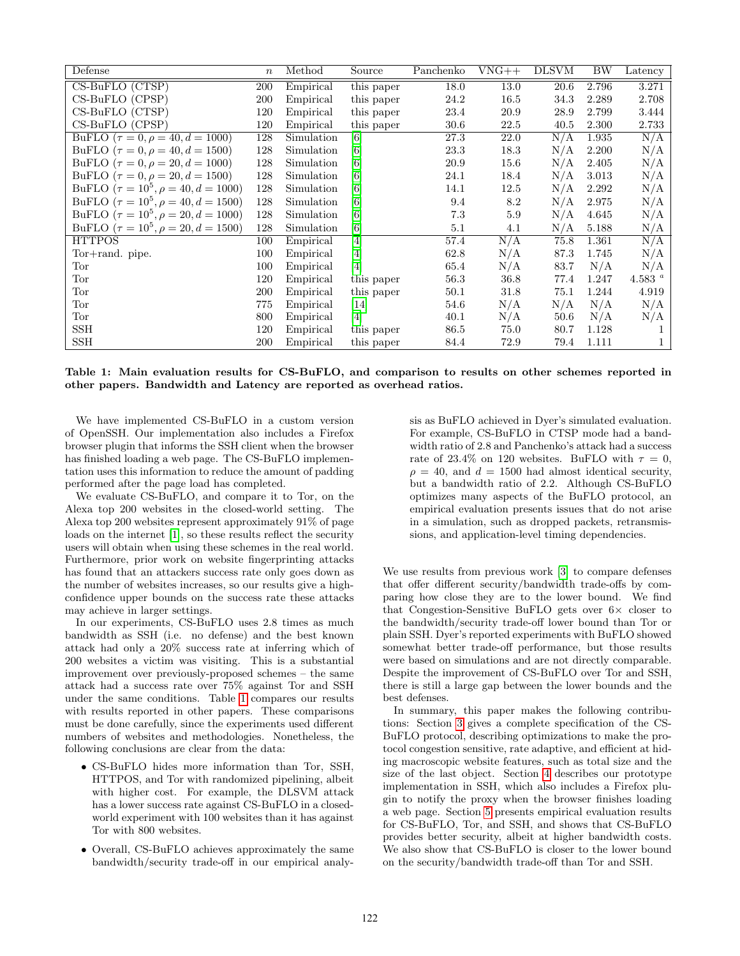| Defense                                    | $\boldsymbol{n}$ | Method     | Source                                                                                                                                                                                                                                                                                                                                                                                                                                                                                                                                                                                                                                                                                                                                                                                                                                | Panchenko | $VNG++$ | <b>DLSVM</b> | <b>BW</b> | Latency             |
|--------------------------------------------|------------------|------------|---------------------------------------------------------------------------------------------------------------------------------------------------------------------------------------------------------------------------------------------------------------------------------------------------------------------------------------------------------------------------------------------------------------------------------------------------------------------------------------------------------------------------------------------------------------------------------------------------------------------------------------------------------------------------------------------------------------------------------------------------------------------------------------------------------------------------------------|-----------|---------|--------------|-----------|---------------------|
| CS-BuFLO (CTSP)                            | 200              | Empirical  | this paper                                                                                                                                                                                                                                                                                                                                                                                                                                                                                                                                                                                                                                                                                                                                                                                                                            | 18.0      | 13.0    | 20.6         | 2.796     | 3.271               |
| CS-BuFLO (CPSP)                            | 200              | Empirical  | this paper                                                                                                                                                                                                                                                                                                                                                                                                                                                                                                                                                                                                                                                                                                                                                                                                                            | 24.2      | 16.5    | 34.3         | 2.289     | 2.708               |
| CS-BuFLO (CTSP)                            | 120              | Empirical  | this paper                                                                                                                                                                                                                                                                                                                                                                                                                                                                                                                                                                                                                                                                                                                                                                                                                            | 23.4      | 20.9    | 28.9         | 2.799     | 3.444               |
| CS-BuFLO (CPSP)                            | 120              | Empirical  | this paper                                                                                                                                                                                                                                                                                                                                                                                                                                                                                                                                                                                                                                                                                                                                                                                                                            | 30.6      | 22.5    | 40.5         | 2.300     | 2.733               |
| BuFLO $(\tau = 0, \rho = 40, d = 1000)$    | 128              | Simulation | [6]                                                                                                                                                                                                                                                                                                                                                                                                                                                                                                                                                                                                                                                                                                                                                                                                                                   | 27.3      | 22.0    | N/A          | 1.935     | N/A                 |
| BuFLO $(\tau = 0, \rho = 40, d = 1500)$    | 128              | Simulation | [6]                                                                                                                                                                                                                                                                                                                                                                                                                                                                                                                                                                                                                                                                                                                                                                                                                                   | 23.3      | 18.3    | N/A          | 2.200     | N/A                 |
| BuFLO $(\tau = 0, \rho = 20, d = 1000)$    | 128              | Simulation | $[6] \centering% \includegraphics[width=1.0\textwidth]{images/TrDiag_Cor.png} \caption{The 3D (top) and the 4D (bottom) of the 3D (bottom) and the 5D (bottom) of the 3D (bottom) of the 3D (bottom).} \label{TrDiag_Cor}$                                                                                                                                                                                                                                                                                                                                                                                                                                                                                                                                                                                                            | 20.9      | 15.6    | N/A          | 2.405     | N/A                 |
| BuFLO $(\tau = 0, \rho = 20, d = 1500)$    | 128              | Simulation | $[6] % \includegraphics[width=0.9\columnwidth]{figures/fig_0a.pdf} \caption{A small number of samples in the left and right. The left and right is the number of samples in the right.} \label{fig:1}$                                                                                                                                                                                                                                                                                                                                                                                                                                                                                                                                                                                                                                | 24.1      | 18.4    | N/A          | 3.013     | N/A                 |
| BuFLO $(\tau = 10^5, \rho = 40, d = 1000)$ | 128              | Simulation | $[6] % \includegraphics[width=0.9\columnwidth]{figures/fig_0a.pdf} \caption{A small number of samples in the left and right. The left and right is the number of samples in the right.} \label{fig:1}$                                                                                                                                                                                                                                                                                                                                                                                                                                                                                                                                                                                                                                | 14.1      | 12.5    | N/A          | 2.292     | N/A                 |
| BuFLO $(\tau = 10^5, \rho = 40, d = 1500)$ | 128              | Simulation | $[6] % \includegraphics[width=0.9\columnwidth]{figures/fig_0a.pdf} \caption{A small number of samples in the left and right. The left and right is the number of samples in the right.} \label{fig:1}$                                                                                                                                                                                                                                                                                                                                                                                                                                                                                                                                                                                                                                | 9.4       | 8.2     | N/A          | 2.975     | N/A                 |
| BuFLO $(\tau = 10^5, \rho = 20, d = 1000)$ | 128              | Simulation | $[6] \centering% \includegraphics[width=1.0\textwidth]{images/TrDiag_Cor.png} \caption{The 3D (top) and the 4D (bottom) of the 3D (bottom) and the 5D (bottom) of the 3D (bottom) of the 3D (bottom).} \label{TrDiag_Cor}$                                                                                                                                                                                                                                                                                                                                                                                                                                                                                                                                                                                                            | 7.3       | 5.9     | N/A          | 4.645     | N/A                 |
| BuFLO $(\tau = 10^5, \rho = 20, d = 1500)$ | 128              | Simulation | [6]                                                                                                                                                                                                                                                                                                                                                                                                                                                                                                                                                                                                                                                                                                                                                                                                                                   | 5.1       | 4.1     | N/A          | 5.188     | N/A                 |
| <b>HTTPOS</b>                              | 100              | Empirical  | $[4] % \includegraphics[width=0.9\columnwidth]{figures/fig_4} \caption{A graph shows a function of the parameter \{1,2,3\} \times \{1,2,4\} \times \{1,2,3\} \times \{1,2,3\} \times \{1,2,3\} \times \{1,2,3\} \times \{1,2,3\} \times \{1,2,3\} \times \{1,2,3\} \times \{1,2,3\} \times \{1,2,3\} \times \{1,2,3\} \times \{1,2,3\} \times \{1,2,3\} \times \{1,2,3\} \times \{1,2,3\} \times \{1,2$                                                                                                                                                                                                                                                                                                                                                                                                                               | 57.4      | N/A     | 75.8         | 1.361     | N/A                 |
| Tor+rand. pipe.                            | 100              | Empirical  | $[4] % \includegraphics[width=0.9\columnwidth]{figures/fig_4} \caption{A graph shows a function of the parameter $\{1,2,3,4,\cdots\}$ for the parameter $3$. The number of points are $3$. The number of points are $3$.} \label{fig:time}$                                                                                                                                                                                                                                                                                                                                                                                                                                                                                                                                                                                           | 62.8      | N/A     | 87.3         | 1.745     | N/A                 |
| Tor                                        | 100              | Empirical  | $[4] \centering% \includegraphics[width=1\textwidth]{images/TransY.pdf} \caption{The first two different values of $g_I$ and $g_I$ are shown in the left (upper) and the right (lower) and the right (lower) are shown in the right (lower) and the right (lower) are shown in the right (lower) and the right (lower) are shown in the right (lower) and the right (lower) are shown in the right (lower) and the right (lower) are shown in the right (lower) and the right (lower) are shown in the right (lower) and the right (lower) are shown in the right (lower) and the right (lower) are shown in the right (lower) and the right (lower) are shown in the right (lower) and the right (lower) are shown in the right (lower) and the right (lower) are shown in the right (lower) and the right (lower) are shown in the$ | 65.4      | N/A     | 83.7         | N/A       | N/A                 |
| Tor                                        | 120              | Empirical  | this paper                                                                                                                                                                                                                                                                                                                                                                                                                                                                                                                                                                                                                                                                                                                                                                                                                            | 56.3      | 36.8    | 77.4         | 1.247     | 4.583~ <sup>a</sup> |
| Tor                                        | 200              | Empirical  | this paper                                                                                                                                                                                                                                                                                                                                                                                                                                                                                                                                                                                                                                                                                                                                                                                                                            | 50.1      | 31.8    | 75.1         | 1.244     | 4.919               |
| Tor                                        | 775              | Empirical  | $[14]$                                                                                                                                                                                                                                                                                                                                                                                                                                                                                                                                                                                                                                                                                                                                                                                                                                | 54.6      | N/A     | N/A          | N/A       | N/A                 |
| Tor                                        | 800              | Empirical  | $[4]$                                                                                                                                                                                                                                                                                                                                                                                                                                                                                                                                                                                                                                                                                                                                                                                                                                 | 40.1      | N/A     | 50.6         | N/A       | N/A                 |
| <b>SSH</b>                                 | 120              | Empirical  | this paper                                                                                                                                                                                                                                                                                                                                                                                                                                                                                                                                                                                                                                                                                                                                                                                                                            | 86.5      | 75.0    | 80.7         | 1.128     |                     |
| <b>SSH</b>                                 | 200              | Empirical  | this paper                                                                                                                                                                                                                                                                                                                                                                                                                                                                                                                                                                                                                                                                                                                                                                                                                            | 84.4      | 72.9    | 79.4         | 1.111     |                     |

<span id="page-1-0"></span>Table 1: Main evaluation results for CS-BuFLO, and comparison to results on other schemes reported in other papers. Bandwidth and Latency are reported as overhead ratios.

We have implemented CS-BuFLO in a custom version of OpenSSH. Our implementation also includes a Firefox browser plugin that informs the SSH client when the browser has finished loading a web page. The CS-BuFLO implementation uses this information to reduce the amount of padding performed after the page load has completed.

We evaluate CS-BuFLO, and compare it to Tor, on the Alexa top 200 websites in the closed-world setting. The Alexa top 200 websites represent approximately 91% of page loads on the internet [\[1\]](#page-8-3), so these results reflect the security users will obtain when using these schemes in the real world. Furthermore, prior work on website fingerprinting attacks has found that an attackers success rate only goes down as the number of websites increases, so our results give a highconfidence upper bounds on the success rate these attacks may achieve in larger settings.

In our experiments, CS-BuFLO uses 2.8 times as much bandwidth as SSH (i.e. no defense) and the best known attack had only a 20% success rate at inferring which of 200 websites a victim was visiting. This is a substantial improvement over previously-proposed schemes – the same attack had a success rate over 75% against Tor and SSH under the same conditions. Table [1](#page-1-0) compares our results with results reported in other papers. These comparisons must be done carefully, since the experiments used different numbers of websites and methodologies. Nonetheless, the following conclusions are clear from the data:

- CS-BuFLO hides more information than Tor, SSH, HTTPOS, and Tor with randomized pipelining, albeit with higher cost. For example, the DLSVM attack has a lower success rate against CS-BuFLO in a closedworld experiment with 100 websites than it has against Tor with 800 websites.
- Overall, CS-BuFLO achieves approximately the same bandwidth/security trade-off in our empirical analy-

sis as BuFLO achieved in Dyer's simulated evaluation. For example, CS-BuFLO in CTSP mode had a bandwidth ratio of 2.8 and Panchenko's attack had a success rate of 23.4% on 120 websites. BuFLO with  $\tau = 0$ ,  $\rho = 40$ , and  $d = 1500$  had almost identical security, but a bandwidth ratio of 2.2. Although CS-BuFLO optimizes many aspects of the BuFLO protocol, an empirical evaluation presents issues that do not arise in a simulation, such as dropped packets, retransmissions, and application-level timing dependencies.

We use results from previous work [\[3\]](#page-8-4) to compare defenses that offer different security/bandwidth trade-offs by comparing how close they are to the lower bound. We find that Congestion-Sensitive BuFLO gets over 6× closer to the bandwidth/security trade-off lower bound than Tor or plain SSH. Dyer's reported experiments with BuFLO showed somewhat better trade-off performance, but those results were based on simulations and are not directly comparable. Despite the improvement of CS-BuFLO over Tor and SSH, there is still a large gap between the lower bounds and the best defenses.

In summary, this paper makes the following contributions: Section [3](#page-2-0) gives a complete specification of the CS-BuFLO protocol, describing optimizations to make the protocol congestion sensitive, rate adaptive, and efficient at hiding macroscopic website features, such as total size and the size of the last object. Section [4](#page-6-0) describes our prototype implementation in SSH, which also includes a Firefox plugin to notify the proxy when the browser finishes loading a web page. Section [5](#page-6-1) presents empirical evaluation results for CS-BuFLO, Tor, and SSH, and shows that CS-BuFLO provides better security, albeit at higher bandwidth costs. We also show that CS-BuFLO is closer to the lower bound on the security/bandwidth trade-off than Tor and SSH.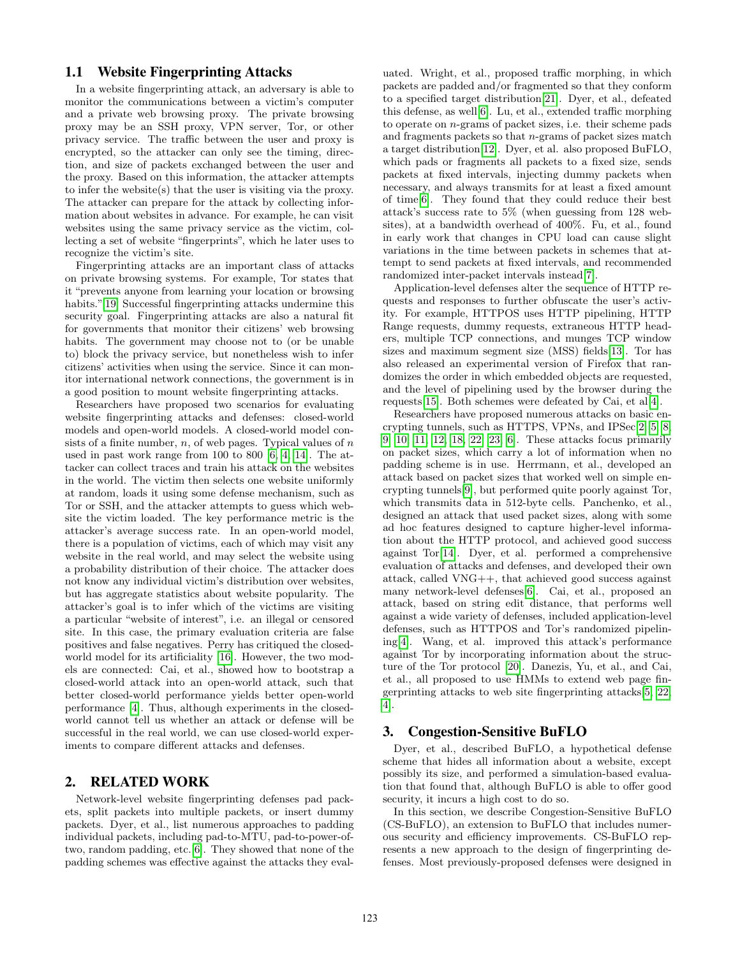## 1.1 Website Fingerprinting Attacks

In a website fingerprinting attack, an adversary is able to monitor the communications between a victim's computer and a private web browsing proxy. The private browsing proxy may be an SSH proxy, VPN server, Tor, or other privacy service. The traffic between the user and proxy is encrypted, so the attacker can only see the timing, direction, and size of packets exchanged between the user and the proxy. Based on this information, the attacker attempts to infer the website(s) that the user is visiting via the proxy. The attacker can prepare for the attack by collecting information about websites in advance. For example, he can visit websites using the same privacy service as the victim, collecting a set of website "fingerprints", which he later uses to recognize the victim's site.

Fingerprinting attacks are an important class of attacks on private browsing systems. For example, Tor states that it "prevents anyone from learning your location or browsing habits."[\[19\]](#page-9-0) Successful fingerprinting attacks undermine this security goal. Fingerprinting attacks are also a natural fit for governments that monitor their citizens' web browsing habits. The government may choose not to (or be unable to) block the privacy service, but nonetheless wish to infer citizens' activities when using the service. Since it can monitor international network connections, the government is in a good position to mount website fingerprinting attacks.

Researchers have proposed two scenarios for evaluating website fingerprinting attacks and defenses: closed-world models and open-world models. A closed-world model consists of a finite number,  $n$ , of web pages. Typical values of  $n$ used in past work range from 100 to 800 [\[6,](#page-8-1) [4,](#page-8-2) [14\]](#page-9-5). The attacker can collect traces and train his attack on the websites in the world. The victim then selects one website uniformly at random, loads it using some defense mechanism, such as Tor or SSH, and the attacker attempts to guess which website the victim loaded. The key performance metric is the attacker's average success rate. In an open-world model, there is a population of victims, each of which may visit any website in the real world, and may select the website using a probability distribution of their choice. The attacker does not know any individual victim's distribution over websites, but has aggregate statistics about website popularity. The attacker's goal is to infer which of the victims are visiting a particular "website of interest", i.e. an illegal or censored site. In this case, the primary evaluation criteria are false positives and false negatives. Perry has critiqued the closedworld model for its artificiality [\[16\]](#page-9-1). However, the two models are connected: Cai, et al., showed how to bootstrap a closed-world attack into an open-world attack, such that better closed-world performance yields better open-world performance [\[4\]](#page-8-2). Thus, although experiments in the closedworld cannot tell us whether an attack or defense will be successful in the real world, we can use closed-world experiments to compare different attacks and defenses.

## 2. RELATED WORK

Network-level website fingerprinting defenses pad packets, split packets into multiple packets, or insert dummy packets. Dyer, et al., list numerous approaches to padding individual packets, including pad-to-MTU, pad-to-power-oftwo, random padding, etc.[\[6\]](#page-8-1). They showed that none of the padding schemes was effective against the attacks they evaluated. Wright, et al., proposed traffic morphing, in which packets are padded and/or fragmented so that they conform to a specified target distribution[\[21\]](#page-9-6). Dyer, et al., defeated this defense, as well[\[6\]](#page-8-1). Lu, et al., extended traffic morphing to operate on n-grams of packet sizes, i.e. their scheme pads and fragments packets so that n-grams of packet sizes match a target distribution[\[12\]](#page-9-7). Dyer, et al. also proposed BuFLO, which pads or fragments all packets to a fixed size, sends packets at fixed intervals, injecting dummy packets when necessary, and always transmits for at least a fixed amount of time[\[6\]](#page-8-1). They found that they could reduce their best attack's success rate to 5% (when guessing from 128 websites), at a bandwidth overhead of 400%. Fu, et al., found in early work that changes in CPU load can cause slight variations in the time between packets in schemes that attempt to send packets at fixed intervals, and recommended randomized inter-packet intervals instead[\[7\]](#page-8-5).

Application-level defenses alter the sequence of HTTP requests and responses to further obfuscate the user's activity. For example, HTTPOS uses HTTP pipelining, HTTP Range requests, dummy requests, extraneous HTTP headers, multiple TCP connections, and munges TCP window sizes and maximum segment size (MSS) fields[\[13\]](#page-9-3). Tor has also released an experimental version of Firefox that randomizes the order in which embedded objects are requested, and the level of pipelining used by the browser during the requests[\[15\]](#page-9-4). Both schemes were defeated by Cai, et al[\[4\]](#page-8-2).

Researchers have proposed numerous attacks on basic encrypting tunnels, such as HTTPS, VPNs, and IPSec[\[2,](#page-8-6) [5,](#page-8-7) [8,](#page-8-8) [9,](#page-8-9) [10,](#page-8-0) [11,](#page-9-8) [12,](#page-9-7) [18,](#page-9-9) [22,](#page-9-10) [23,](#page-9-11) [6\]](#page-8-1). These attacks focus primarily on packet sizes, which carry a lot of information when no padding scheme is in use. Herrmann, et al., developed an attack based on packet sizes that worked well on simple encrypting tunnels[\[9\]](#page-8-9), but performed quite poorly against Tor, which transmits data in 512-byte cells. Panchenko, et al., designed an attack that used packet sizes, along with some ad hoc features designed to capture higher-level information about the HTTP protocol, and achieved good success against Tor[\[14\]](#page-9-5). Dyer, et al. performed a comprehensive evaluation of attacks and defenses, and developed their own attack, called VNG++, that achieved good success against many network-level defenses[\[6\]](#page-8-1). Cai, et al., proposed an attack, based on string edit distance, that performs well against a wide variety of defenses, included application-level defenses, such as HTTPOS and Tor's randomized pipelining[\[4\]](#page-8-2). Wang, et al. improved this attack's performance against Tor by incorporating information about the structure of the Tor protocol [\[20\]](#page-9-12). Danezis, Yu, et al., and Cai, et al., all proposed to use HMMs to extend web page fingerprinting attacks to web site fingerprinting attacks[\[5,](#page-8-7) [22,](#page-9-10) [4\]](#page-8-2).

#### <span id="page-2-0"></span>3. Congestion-Sensitive BuFLO

Dyer, et al., described BuFLO, a hypothetical defense scheme that hides all information about a website, except possibly its size, and performed a simulation-based evaluation that found that, although BuFLO is able to offer good security, it incurs a high cost to do so.

In this section, we describe Congestion-Sensitive BuFLO (CS-BuFLO), an extension to BuFLO that includes numerous security and efficiency improvements. CS-BuFLO represents a new approach to the design of fingerprinting defenses. Most previously-proposed defenses were designed in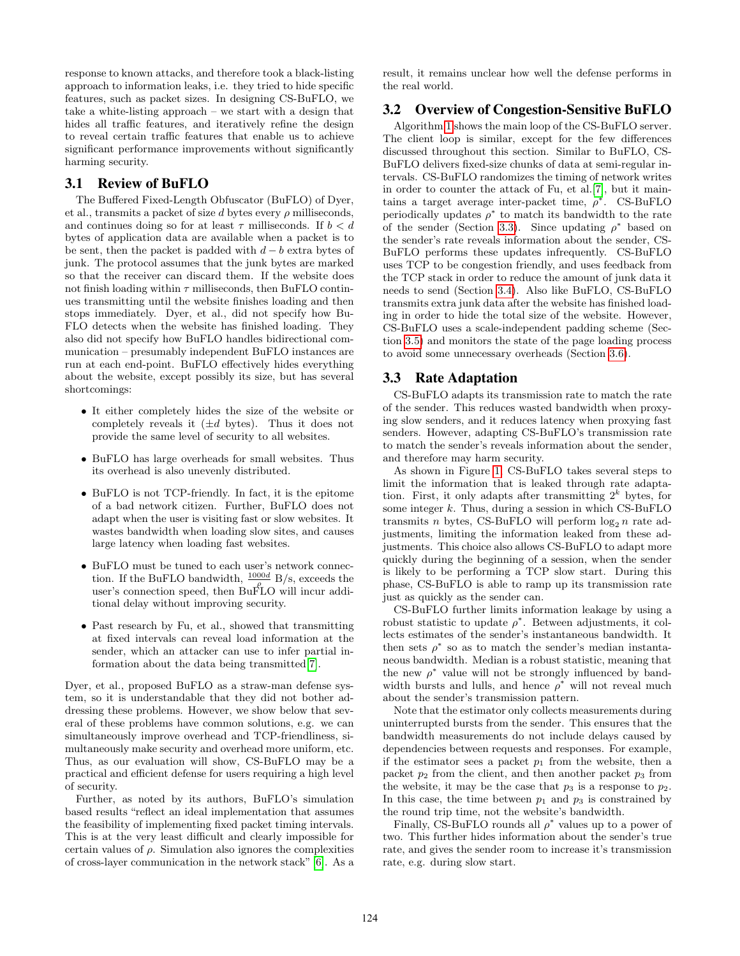response to known attacks, and therefore took a black-listing approach to information leaks, i.e. they tried to hide specific features, such as packet sizes. In designing CS-BuFLO, we take a white-listing approach – we start with a design that hides all traffic features, and iteratively refine the design to reveal certain traffic features that enable us to achieve significant performance improvements without significantly harming security.

#### 3.1 Review of BuFLO

The Buffered Fixed-Length Obfuscator (BuFLO) of Dyer, et al., transmits a packet of size d bytes every  $\rho$  milliseconds, and continues doing so for at least  $\tau$  milliseconds. If  $b < d$ bytes of application data are available when a packet is to be sent, then the packet is padded with  $d - b$  extra bytes of junk. The protocol assumes that the junk bytes are marked so that the receiver can discard them. If the website does not finish loading within  $\tau$  milliseconds, then BuFLO continues transmitting until the website finishes loading and then stops immediately. Dyer, et al., did not specify how Bu-FLO detects when the website has finished loading. They also did not specify how BuFLO handles bidirectional communication – presumably independent BuFLO instances are run at each end-point. BuFLO effectively hides everything about the website, except possibly its size, but has several shortcomings:

- It either completely hides the size of the website or completely reveals it  $(\pm d)$  bytes). Thus it does not provide the same level of security to all websites.
- BuFLO has large overheads for small websites. Thus its overhead is also unevenly distributed.
- BuFLO is not TCP-friendly. In fact, it is the epitome of a bad network citizen. Further, BuFLO does not adapt when the user is visiting fast or slow websites. It wastes bandwidth when loading slow sites, and causes large latency when loading fast websites.
- BuFLO must be tuned to each user's network connection. If the BuFLO bandwidth,  $\frac{1000d}{\rho}$  B/s, exceeds the user's connection speed, then BuFLO will incur additional delay without improving security.
- Past research by Fu, et al., showed that transmitting at fixed intervals can reveal load information at the sender, which an attacker can use to infer partial information about the data being transmitted[\[7\]](#page-8-5).

Dyer, et al., proposed BuFLO as a straw-man defense system, so it is understandable that they did not bother addressing these problems. However, we show below that several of these problems have common solutions, e.g. we can simultaneously improve overhead and TCP-friendliness, simultaneously make security and overhead more uniform, etc. Thus, as our evaluation will show, CS-BuFLO may be a practical and efficient defense for users requiring a high level of security.

Further, as noted by its authors, BuFLO's simulation based results "reflect an ideal implementation that assumes the feasibility of implementing fixed packet timing intervals. This is at the very least difficult and clearly impossible for certain values of  $\rho$ . Simulation also ignores the complexities of cross-layer communication in the network stack" [\[6\]](#page-8-1). As a

result, it remains unclear how well the defense performs in the real world.

## 3.2 Overview of Congestion-Sensitive BuFLO

Algorithm [1](#page-4-0) shows the main loop of the CS-BuFLO server. The client loop is similar, except for the few differences discussed throughout this section. Similar to BuFLO, CS-BuFLO delivers fixed-size chunks of data at semi-regular intervals. CS-BuFLO randomizes the timing of network writes in order to counter the attack of Fu, et al.[\[7\]](#page-8-5), but it maintains a target average inter-packet time,  $\rho^*$ . CS-BuFLO periodically updates  $\rho^*$  to match its bandwidth to the rate of the sender (Section [3.3\)](#page-3-0). Since updating  $\rho^*$  based on the sender's rate reveals information about the sender, CS-BuFLO performs these updates infrequently. CS-BuFLO uses TCP to be congestion friendly, and uses feedback from the TCP stack in order to reduce the amount of junk data it needs to send (Section [3.4\)](#page-4-1). Also like BuFLO, CS-BuFLO transmits extra junk data after the website has finished loading in order to hide the total size of the website. However, CS-BuFLO uses a scale-independent padding scheme (Section [3.5\)](#page-4-2) and monitors the state of the page loading process to avoid some unnecessary overheads (Section [3.6\)](#page-5-0).

#### <span id="page-3-0"></span>3.3 Rate Adaptation

CS-BuFLO adapts its transmission rate to match the rate of the sender. This reduces wasted bandwidth when proxying slow senders, and it reduces latency when proxying fast senders. However, adapting CS-BuFLO's transmission rate to match the sender's reveals information about the sender, and therefore may harm security.

As shown in Figure [1,](#page-4-3) CS-BuFLO takes several steps to limit the information that is leaked through rate adaptation. First, it only adapts after transmitting  $2^k$  bytes, for some integer  $k$ . Thus, during a session in which CS-BuFLO transmits *n* bytes, CS-BuFLO will perform  $log_2 n$  rate adjustments, limiting the information leaked from these adjustments. This choice also allows CS-BuFLO to adapt more quickly during the beginning of a session, when the sender is likely to be performing a TCP slow start. During this phase, CS-BuFLO is able to ramp up its transmission rate just as quickly as the sender can.

CS-BuFLO further limits information leakage by using a robust statistic to update  $\rho^*$ . Between adjustments, it collects estimates of the sender's instantaneous bandwidth. It then sets  $\rho^*$  so as to match the sender's median instantaneous bandwidth. Median is a robust statistic, meaning that the new  $\rho^*$  value will not be strongly influenced by bandwidth bursts and lulls, and hence  $\rho^*$  will not reveal much about the sender's transmission pattern.

Note that the estimator only collects measurements during uninterrupted bursts from the sender. This ensures that the bandwidth measurements do not include delays caused by dependencies between requests and responses. For example, if the estimator sees a packet  $p_1$  from the website, then a packet  $p_2$  from the client, and then another packet  $p_3$  from the website, it may be the case that  $p_3$  is a response to  $p_2$ . In this case, the time between  $p_1$  and  $p_3$  is constrained by the round trip time, not the website's bandwidth.

Finally, CS-BuFLO rounds all  $\rho^*$  values up to a power of two. This further hides information about the sender's true rate, and gives the sender room to increase it's transmission rate, e.g. during slow start.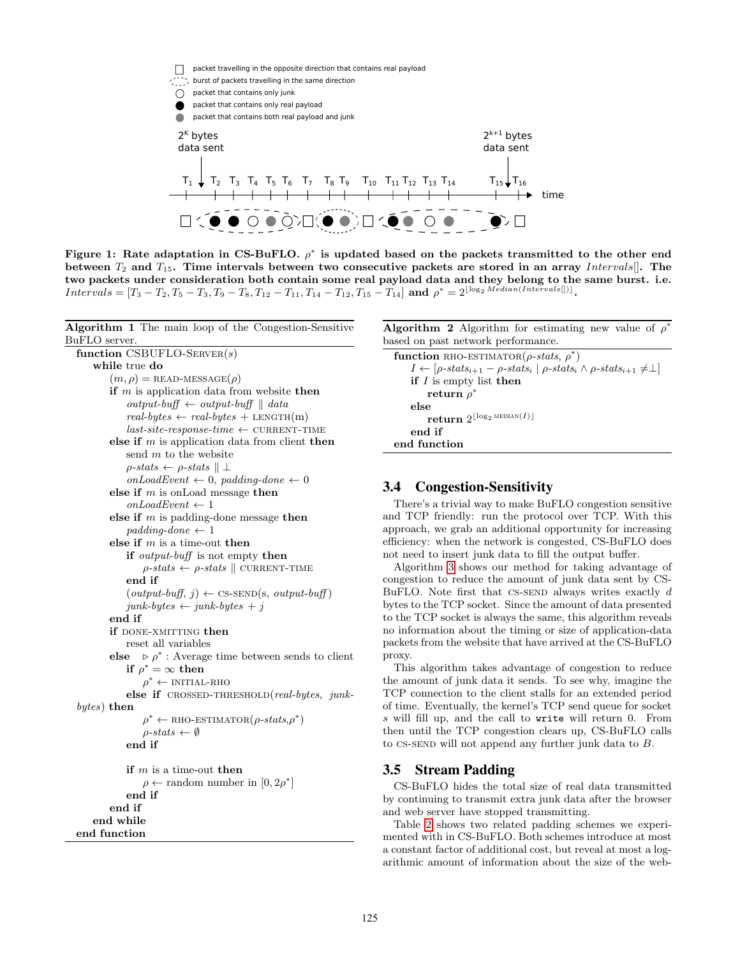

Figure 1: Rate adaptation in CS-BuFLO.  $\rho^*$  is updated based on the packets transmitted to the other end between  $T_2$  and  $T_{15}$ . Time intervals between two consecutive packets are stored in an array Intervals. The two packets under consideration both contain some real payload data and they belong to the same burst. i.e.  $\text{Intervals} = [T_3 - T_2, T_5 - T_3, T_9 - T_8, T_{12} - T_{11}, T_{14} - T_{12}, T_{15} - T_{14}] \text{ and } \rho^* = 2^{\lfloor \log_2 Median(\text{Intervals}[]) \rfloor}.$ 

<span id="page-4-0"></span>

| Algorithm 1 The main loop of the Congestion-Sensitive                             |
|-----------------------------------------------------------------------------------|
| BuFLO server.                                                                     |
| function $\text{CSBUFLO-SERVER}(s)$                                               |
| while true do                                                                     |
| $(m, \rho)$ = READ-MESSAGE( $\rho$ )                                              |
| if $m$ is application data from website then                                      |
| $output \rightarrow \text{output} - output \rightarrow \text{wff} \parallel data$ |
| $real-bytes \leftarrow real-bytes + LENGTH(m)$                                    |
| $last\text{-}site\text{-}response\text{-}time \leftarrow \text{CURRENT-TIME}$     |
| else if $m$ is application data from client then                                  |
| send $m$ to the website                                                           |
| $\rho\text{-}stats \leftarrow \rho\text{-}stats \parallel \bot$                   |
| $onLoadEvent \leftarrow 0, padding-done \leftarrow 0$                             |
| else if $m$ is on Load message then                                               |
| $onLoadEvent \leftarrow 1$                                                        |
| else if $m$ is padding-done message then                                          |
| $padding\text{-}done \leftarrow 1$                                                |
| else if $m$ is a time-out then                                                    |
| if <i>output-buff</i> is not empty then                                           |
| $\rho\text{-}stats \leftarrow \rho\text{-}stats \parallel \text{CURRENT-TIME}$    |
| end if                                                                            |
| $(output-buff, j) \leftarrow \text{CS-SEND}(s, output-buff)$                      |
| $junk-bytes \leftarrow junk-bytes + j$                                            |
| end if                                                                            |
| if DONE-XMITTING then                                                             |
| reset all variables                                                               |
| else $\rho^*$ : Average time between sends to client                              |
| if $\rho^* = \infty$ then                                                         |
| $\rho^* \leftarrow \text{INITIAL-RHO}$                                            |
| else if $CROSED-THRESHOLD(real-bytes, junk-$                                      |
| $bytes)$ then                                                                     |
| $\rho^* \leftarrow \text{RHO-ESTIMATOR}(\rho\text{-}stats, \rho^*)$               |
| $\rho$ -stats $\leftarrow \emptyset$                                              |
| end if                                                                            |
| <b>if</b> m is a time-out <b>then</b>                                             |
| $\rho \leftarrow$ random number in $[0, 2\rho^*]$                                 |
| end if                                                                            |
| end if                                                                            |
| end while                                                                         |
| end function                                                                      |
|                                                                                   |

<span id="page-4-3"></span>Algorithm 2 Algorithm for estimating new value of  $\rho^*$ based on past network performance.

| function RHO-ESTIMATOR( $\rho$ -stats, $\rho^*$ )                                                                                    |
|--------------------------------------------------------------------------------------------------------------------------------------|
| $I \leftarrow [\rho \text{-}stats_{i+1} - \rho \text{-}stats_i \mid \rho \text{-}stats_i \land \rho \text{-}stats_{i+1} \neq \perp]$ |
| if $I$ is empty list then                                                                                                            |
| return $\rho^*$                                                                                                                      |
| else                                                                                                                                 |
| return $2^{\lfloor \log_2 \text{MEDIAN}(I) \rfloor}$                                                                                 |
| end if                                                                                                                               |
| end function                                                                                                                         |

# <span id="page-4-1"></span>3.4 Congestion-Sensitivity

There's a trivial way to make BuFLO congestion sensitive and TCP friendly: run the protocol over TCP. With this approach, we grab an additional opportunity for increasing efficiency: when the network is congested, CS-BuFLO does not need to insert junk data to fill the output buffer.

Algorithm [3](#page-5-1) shows our method for taking advantage of congestion to reduce the amount of junk data sent by CS-BuFLO. Note first that  $CS-SEND$  always writes exactly  $d$ bytes to the TCP socket. Since the amount of data presented to the TCP socket is always the same, this algorithm reveals no information about the timing or size of application-data packets from the website that have arrived at the CS-BuFLO proxy.

This algorithm takes advantage of congestion to reduce the amount of junk data it sends. To see why, imagine the TCP connection to the client stalls for an extended period of time. Eventually, the kernel's TCP send queue for socket s will fill up, and the call to write will return 0. From then until the TCP congestion clears up, CS-BuFLO calls to cs-send will not append any further junk data to B.

# <span id="page-4-2"></span>3.5 Stream Padding

CS-BuFLO hides the total size of real data transmitted by continuing to transmit extra junk data after the browser and web server have stopped transmitting.

Table [2](#page-5-2) shows two related padding schemes we experimented with in CS-BuFLO. Both schemes introduce at most a constant factor of additional cost, but reveal at most a logarithmic amount of information about the size of the web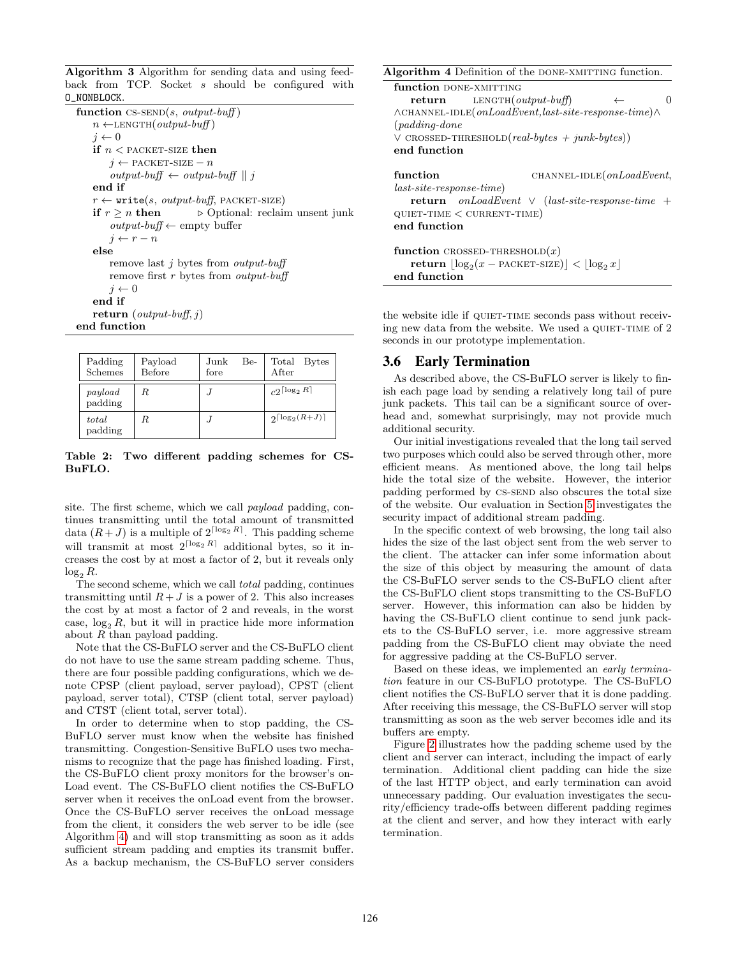Algorithm 3 Algorithm for sending data and using feedback from TCP. Socket s should be configured with O\_NONBLOCK.

<span id="page-5-1"></span>function  $CS-SEND(s, output-buff)$  $n \leftarrow$ LENGTH(*output-buff*)  $i \leftarrow 0$ if  $n <$  packet-size then  $j \leftarrow$  PACKET-SIZE – n  $output \rightarrow \text{output} \rightarrow \text{output} \rightarrow \text{inf}$  | j end if  $r \leftarrow \texttt{write}(s, \text{output-buff}, \text{PACKET-SIZE})$ if  $r \geq n$  then  $\triangleright$  Optional: reclaim unsent junk  $output \text{-} \text{buffer}$  buffer  $j \leftarrow r - n$ else remove last  $j$  bytes from *output-buff* remove first  $r$  bytes from *output-buff*  $i \leftarrow 0$ end if return  $(output-buff, j)$ end function

| Padding<br><b>Schemes</b> | Payload<br>Before | Junk<br>Be-<br>fore | Total Bytes<br>After            |
|---------------------------|-------------------|---------------------|---------------------------------|
| payload<br>padding        | R.                |                     | $c2^{\lfloor \log_2 R \rfloor}$ |
| <i>total</i><br>padding   | R.                | J.                  | $2\lceil \log_2(R+J) \rceil$    |

Table 2: Two different padding schemes for CS-BuFLO.

site. The first scheme, which we call payload padding, continues transmitting until the total amount of transmitted data  $(R+J)$  is a multiple of  $2^{\lceil \log_2 R \rceil}$ . This padding scheme will transmit at most  $2^{\lceil \log_2 R \rceil}$  additional bytes, so it increases the cost by at most a factor of 2, but it reveals only  $log_2 R$ .

The second scheme, which we call total padding, continues transmitting until  $R + J$  is a power of 2. This also increases the cost by at most a factor of 2 and reveals, in the worst case,  $\log_2 R$ , but it will in practice hide more information about  $R$  than payload padding.

Note that the CS-BuFLO server and the CS-BuFLO client do not have to use the same stream padding scheme. Thus, there are four possible padding configurations, which we denote CPSP (client payload, server payload), CPST (client payload, server total), CTSP (client total, server payload) and CTST (client total, server total).

In order to determine when to stop padding, the CS-BuFLO server must know when the website has finished transmitting. Congestion-Sensitive BuFLO uses two mechanisms to recognize that the page has finished loading. First, the CS-BuFLO client proxy monitors for the browser's on-Load event. The CS-BuFLO client notifies the CS-BuFLO server when it receives the onLoad event from the browser. Once the CS-BuFLO server receives the onLoad message from the client, it considers the web server to be idle (see Algorithm [4\)](#page-5-3) and will stop transmitting as soon as it adds sufficient stream padding and empties its transmit buffer. As a backup mechanism, the CS-BuFLO server considers

<span id="page-5-3"></span>

| Algorithm 4 Definition of the DONE-XMITTING function.                 |
|-----------------------------------------------------------------------|
| function DONE-XMITTING                                                |
| $return$ LENGTH( <i>output-buff</i> )<br>$\left( \right)$             |
| $\wedge$ CHANNEL-IDLE $(onLoadEvent, last-site-response-time) \wedge$ |
| $(padding-done$                                                       |
| $\vee$ CROSSED-THRESHOLD(real-bytes + junk-bytes))                    |
| end function                                                          |
|                                                                       |
| function<br>CHANNEL-IDLE( $onLoadEvent$ ,                             |
| $last\text{-}site\text{-}response\text{-}time)$                       |
| <b>return</b> onLoadEvent $\vee$ (last-site-response-time +           |
| $\text{QUIET-TIME} < \text{CURRENT-TIME}$                             |
| end function                                                          |
|                                                                       |
| function CROSSED-THRESHOLD $(x)$                                      |
| return $ \log_2(x - PACKET-SIZE)  <  log_2 x $                        |
| end function                                                          |

the website idle if QUIET-TIME seconds pass without receiving new data from the website. We used a QUIET-TIME of  $2$ seconds in our prototype implementation.

#### <span id="page-5-0"></span>3.6 Early Termination

<span id="page-5-2"></span>As described above, the CS-BuFLO server is likely to finish each page load by sending a relatively long tail of pure junk packets. This tail can be a significant source of overhead and, somewhat surprisingly, may not provide much additional security.

Our initial investigations revealed that the long tail served two purposes which could also be served through other, more efficient means. As mentioned above, the long tail helps hide the total size of the website. However, the interior padding performed by CS-SEND also obscures the total size of the website. Our evaluation in Section [5](#page-6-1) investigates the security impact of additional stream padding.

In the specific context of web browsing, the long tail also hides the size of the last object sent from the web server to the client. The attacker can infer some information about the size of this object by measuring the amount of data the CS-BuFLO server sends to the CS-BuFLO client after the CS-BuFLO client stops transmitting to the CS-BuFLO server. However, this information can also be hidden by having the CS-BuFLO client continue to send junk packets to the CS-BuFLO server, i.e. more aggressive stream padding from the CS-BuFLO client may obviate the need for aggressive padding at the CS-BuFLO server.

Based on these ideas, we implemented an early termination feature in our CS-BuFLO prototype. The CS-BuFLO client notifies the CS-BuFLO server that it is done padding. After receiving this message, the CS-BuFLO server will stop transmitting as soon as the web server becomes idle and its buffers are empty.

Figure [2](#page-6-2) illustrates how the padding scheme used by the client and server can interact, including the impact of early termination. Additional client padding can hide the size of the last HTTP object, and early termination can avoid unnecessary padding. Our evaluation investigates the security/efficiency trade-offs between different padding regimes at the client and server, and how they interact with early termination.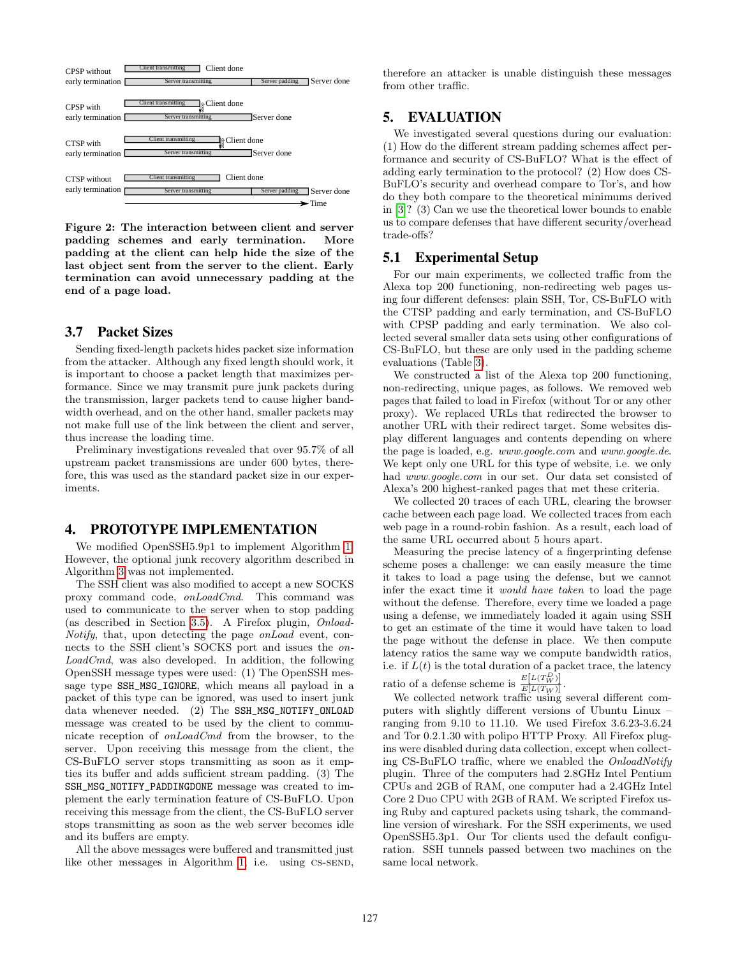

Figure 2: The interaction between client and server padding schemes and early termination. More padding at the client can help hide the size of the last object sent from the server to the client. Early termination can avoid unnecessary padding at the end of a page load.

# 3.7 Packet Sizes

Sending fixed-length packets hides packet size information from the attacker. Although any fixed length should work, it is important to choose a packet length that maximizes performance. Since we may transmit pure junk packets during the transmission, larger packets tend to cause higher bandwidth overhead, and on the other hand, smaller packets may not make full use of the link between the client and server, thus increase the loading time.

Preliminary investigations revealed that over 95.7% of all upstream packet transmissions are under 600 bytes, therefore, this was used as the standard packet size in our experiments.

## <span id="page-6-0"></span>4. PROTOTYPE IMPLEMENTATION

We modified OpenSSH5.9p1 to implement Algorithm [1.](#page-4-0) However, the optional junk recovery algorithm described in Algorithm [3](#page-5-1) was not implemented.

The SSH client was also modified to accept a new SOCKS proxy command code, onLoadCmd. This command was used to communicate to the server when to stop padding (as described in Section [3.5\)](#page-4-2). A Firefox plugin, Onload-Notify, that, upon detecting the page onLoad event, connects to the SSH client's SOCKS port and issues the on-LoadCmd, was also developed. In addition, the following OpenSSH message types were used: (1) The OpenSSH message type SSH\_MSG\_IGNORE, which means all payload in a packet of this type can be ignored, was used to insert junk data whenever needed. (2) The SSH\_MSG\_NOTIFY\_ONLOAD message was created to be used by the client to communicate reception of onLoadCmd from the browser, to the server. Upon receiving this message from the client, the CS-BuFLO server stops transmitting as soon as it empties its buffer and adds sufficient stream padding. (3) The SSH\_MSG\_NOTIFY\_PADDINGDONE message was created to implement the early termination feature of CS-BuFLO. Upon receiving this message from the client, the CS-BuFLO server stops transmitting as soon as the web server becomes idle and its buffers are empty.

All the above messages were buffered and transmitted just like other messages in Algorithm [1,](#page-4-0) i.e. using CS-SEND, therefore an attacker is unable distinguish these messages from other traffic.

# <span id="page-6-1"></span>5. EVALUATION

We investigated several questions during our evaluation: (1) How do the different stream padding schemes affect performance and security of CS-BuFLO? What is the effect of adding early termination to the protocol? (2) How does CS-BuFLO's security and overhead compare to Tor's, and how do they both compare to the theoretical minimums derived in [\[3\]](#page-8-4)? (3) Can we use the theoretical lower bounds to enable us to compare defenses that have different security/overhead trade-offs?

## <span id="page-6-2"></span>5.1 Experimental Setup

For our main experiments, we collected traffic from the Alexa top 200 functioning, non-redirecting web pages using four different defenses: plain SSH, Tor, CS-BuFLO with the CTSP padding and early termination, and CS-BuFLO with CPSP padding and early termination. We also collected several smaller data sets using other configurations of CS-BuFLO, but these are only used in the padding scheme evaluations (Table [3\)](#page-7-0).

We constructed a list of the Alexa top 200 functioning, non-redirecting, unique pages, as follows. We removed web pages that failed to load in Firefox (without Tor or any other proxy). We replaced URLs that redirected the browser to another URL with their redirect target. Some websites display different languages and contents depending on where the page is loaded, e.g. www.google.com and www.google.de. We kept only one URL for this type of website, i.e. we only had www.google.com in our set. Our data set consisted of Alexa's 200 highest-ranked pages that met these criteria.

We collected 20 traces of each URL, clearing the browser cache between each page load. We collected traces from each web page in a round-robin fashion. As a result, each load of the same URL occurred about 5 hours apart.

Measuring the precise latency of a fingerprinting defense scheme poses a challenge: we can easily measure the time it takes to load a page using the defense, but we cannot infer the exact time it would have taken to load the page without the defense. Therefore, every time we loaded a page using a defense, we immediately loaded it again using SSH to get an estimate of the time it would have taken to load the page without the defense in place. We then compute latency ratios the same way we compute bandwidth ratios, i.e. if  $L(t)$  is the total duration of a packet trace, the latency

ratio of a defense scheme is  $\frac{E[L(T_W^D)]}{E[L(T_W)]}$ .

We collected network traffic using several different computers with slightly different versions of Ubuntu Linux – ranging from 9.10 to 11.10. We used Firefox 3.6.23-3.6.24 and Tor 0.2.1.30 with polipo HTTP Proxy. All Firefox plugins were disabled during data collection, except when collecting CS-BuFLO traffic, where we enabled the OnloadNotify plugin. Three of the computers had 2.8GHz Intel Pentium CPUs and 2GB of RAM, one computer had a 2.4GHz Intel Core 2 Duo CPU with 2GB of RAM. We scripted Firefox using Ruby and captured packets using tshark, the commandline version of wireshark. For the SSH experiments, we used OpenSSH5.3p1. Our Tor clients used the default configuration. SSH tunnels passed between two machines on the same local network.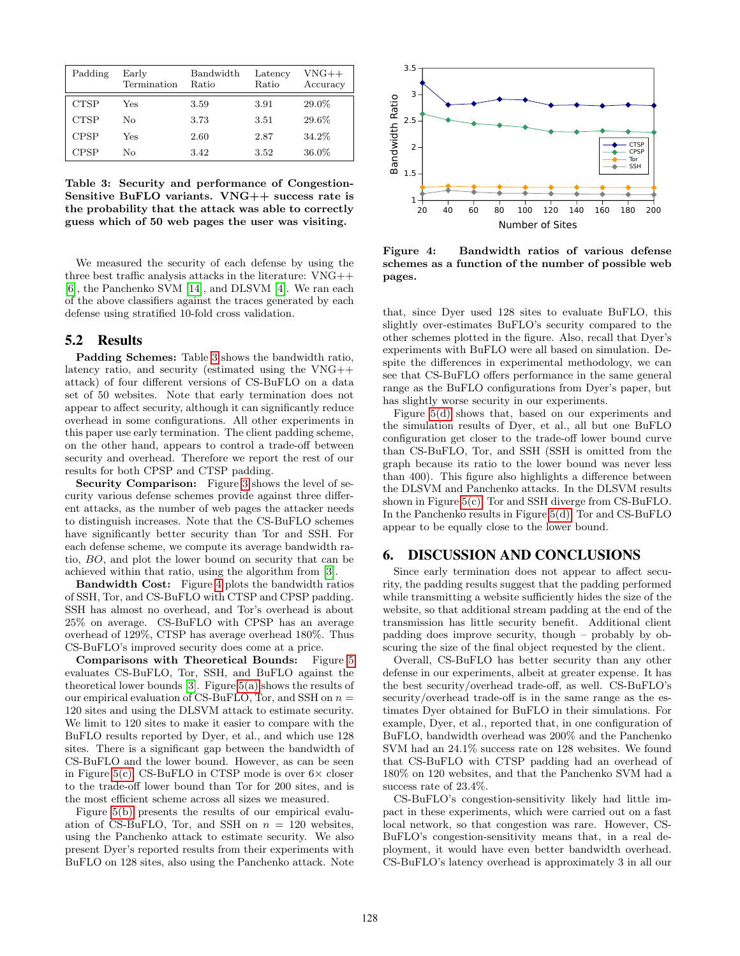| Padding     | Early<br>Termination | Bandwidth<br>Ratio | Latency<br>Ratio | $VNG++$<br>Accuracy |
|-------------|----------------------|--------------------|------------------|---------------------|
| <b>CTSP</b> | Yes                  | 3.59               | 3.91             | 29.0%               |
| <b>CTSP</b> | No                   | 3.73               | 3.51             | 29.6%               |
| <b>CPSP</b> | Yes                  | 2.60               | 2.87             | 34.2%               |
| <b>CPSP</b> | No                   | 3.42               | 3.52             | 36.0%               |

<span id="page-7-0"></span>Table 3: Security and performance of Congestion-Sensitive BuFLO variants. VNG++ success rate is the probability that the attack was able to correctly guess which of 50 web pages the user was visiting.

We measured the security of each defense by using the three best traffic analysis attacks in the literature: VNG++ [\[6\]](#page-8-1), the Panchenko SVM [\[14\]](#page-9-5), and DLSVM [\[4\]](#page-8-2). We ran each of the above classifiers against the traces generated by each defense using stratified 10-fold cross validation.

## 5.2 Results

Padding Schemes: Table [3](#page-7-0) shows the bandwidth ratio, latency ratio, and security (estimated using the VNG++ attack) of four different versions of CS-BuFLO on a data set of 50 websites. Note that early termination does not appear to affect security, although it can significantly reduce overhead in some configurations. All other experiments in this paper use early termination. The client padding scheme, on the other hand, appears to control a trade-off between security and overhead. Therefore we report the rest of our results for both CPSP and CTSP padding.

Security Comparison: Figure [3](#page-8-10) shows the level of security various defense schemes provide against three different attacks, as the number of web pages the attacker needs to distinguish increases. Note that the CS-BuFLO schemes have significantly better security than Tor and SSH. For each defense scheme, we compute its average bandwidth ratio, BO, and plot the lower bound on security that can be achieved within that ratio, using the algorithm from [\[3\]](#page-8-4).

Bandwidth Cost: Figure [4](#page-7-1) plots the bandwidth ratios of SSH, Tor, and CS-BuFLO with CTSP and CPSP padding. SSH has almost no overhead, and Tor's overhead is about 25% on average. CS-BuFLO with CPSP has an average overhead of 129%, CTSP has average overhead 180%. Thus CS-BuFLO's improved security does come at a price.

Comparisons with Theoretical Bounds: Figure [5](#page-9-13) evaluates CS-BuFLO, Tor, SSH, and BuFLO against the theoretical lower bounds  $[3]$ . Figure  $5(a)$  shows the results of our empirical evaluation of CS-BuFLO, Tor, and SSH on  $n =$ 120 sites and using the DLSVM attack to estimate security. We limit to 120 sites to make it easier to compare with the BuFLO results reported by Dyer, et al., and which use 128 sites. There is a significant gap between the bandwidth of CS-BuFLO and the lower bound. However, as can be seen in Figure [5\(c\),](#page-9-15) CS-BuFLO in CTSP mode is over  $6 \times$  closer to the trade-off lower bound than Tor for 200 sites, and is the most efficient scheme across all sizes we measured.

Figure [5\(b\)](#page-9-16) presents the results of our empirical evaluation of CS-BuFLO, Tor, and SSH on  $n = 120$  websites, using the Panchenko attack to estimate security. We also present Dyer's reported results from their experiments with BuFLO on 128 sites, also using the Panchenko attack. Note



<span id="page-7-1"></span>Figure 4: Bandwidth ratios of various defense schemes as a function of the number of possible web pages.

that, since Dyer used 128 sites to evaluate BuFLO, this slightly over-estimates BuFLO's security compared to the other schemes plotted in the figure. Also, recall that Dyer's experiments with BuFLO were all based on simulation. Despite the differences in experimental methodology, we can see that CS-BuFLO offers performance in the same general range as the BuFLO configurations from Dyer's paper, but has slightly worse security in our experiments.

Figure [5\(d\)](#page-9-17) shows that, based on our experiments and the simulation results of Dyer, et al., all but one BuFLO configuration get closer to the trade-off lower bound curve than CS-BuFLO, Tor, and SSH (SSH is omitted from the graph because its ratio to the lower bound was never less than 400). This figure also highlights a difference between the DLSVM and Panchenko attacks. In the DLSVM results shown in Figure [5\(c\),](#page-9-15) Tor and SSH diverge from CS-BuFLO. In the Panchenko results in Figure [5\(d\),](#page-9-17) Tor and CS-BuFLO appear to be equally close to the lower bound.

## 6. DISCUSSION AND CONCLUSIONS

padding does improve security, though – probably by ob-Since early termination does not appear to affect security, the padding results suggest that the padding performed while transmitting a website sufficiently hides the size of the website, so that additional stream padding at the end of the transmission has little security benefit. Additional client scuring the size of the final object requested by the client.

Overall, CS-BuFLO has better security than any other defense in our experiments, albeit at greater expense. It has the best security/overhead trade-off, as well. CS-BuFLO's security/overhead trade-off is in the same range as the estimates Dyer obtained for BuFLO in their simulations. For example, Dyer, et al., reported that, in one configuration of BuFLO, bandwidth overhead was 200% and the Panchenko SVM had an 24.1% success rate on 128 websites. We found that CS-BuFLO with CTSP padding had an overhead of 180% on 120 websites, and that the Panchenko SVM had a success rate of 23.4%.

CS-BuFLO's congestion-sensitivity likely had little impact in these experiments, which were carried out on a fast local network, so that congestion was rare. However, CS-BuFLO's congestion-sensitivity means that, in a real deployment, it would have even better bandwidth overhead. CS-BuFLO's latency overhead is approximately 3 in all our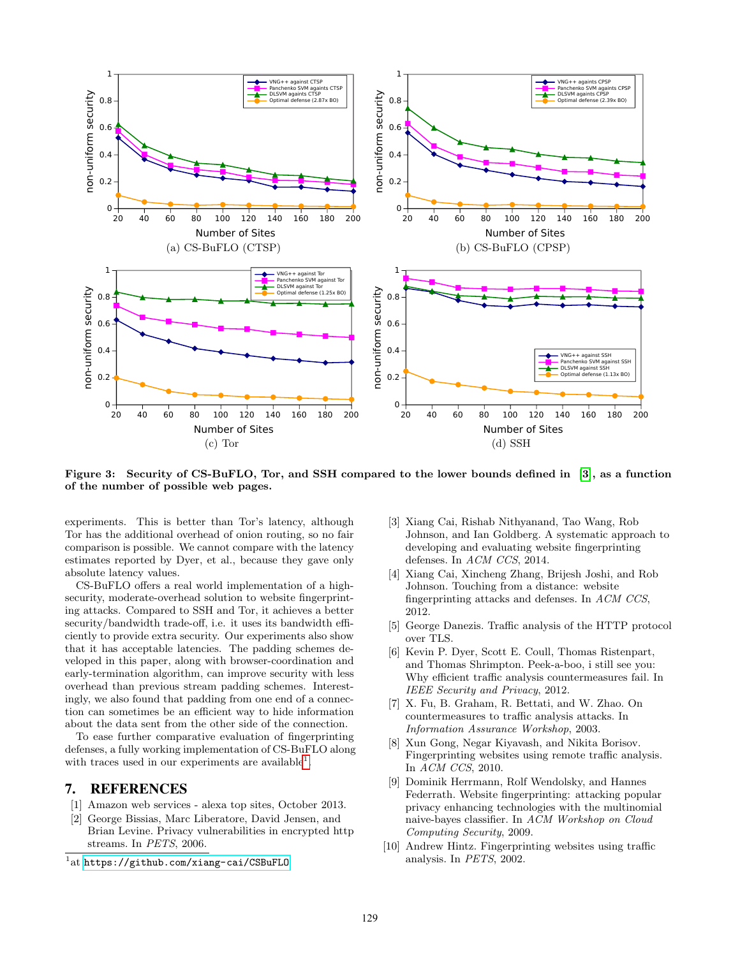

Figure 3: Security of CS-BuFLO, Tor, and SSH compared to the lower bounds defined in [\[3\]](#page-8-4), as a function of the number of possible web pages.

experiments. This is better than Tor's latency, although Tor has the additional overhead of onion routing, so no fair comparison is possible. We cannot compare with the latency estimates reported by Dyer, et al., because they gave only absolute latency values.

that it has acceptable latencies. The padding schemes de-CS-BuFLO offers a real world implementation of a highsecurity, moderate-overhead solution to website fingerprinting attacks. Compared to SSH and Tor, it achieves a better security/bandwidth trade-off, i.e. it uses its bandwidth efficiently to provide extra security. Our experiments also show veloped in this paper, along with browser-coordination and early-termination algorithm, can improve security with less overhead than previous stream padding schemes. Interestingly, we also found that padding from one end of a connection can sometimes be an efficient way to hide information about the data sent from the other side of the connection.

To ease further comparative evaluation of fingerprinting defenses, a fully working implementation of CS-BuFLO along with traces used in our experiments are available<sup>[1](#page-8-11)</sup>.

## 7. REFERENCES

- <span id="page-8-3"></span>[1] Amazon web services - alexa top sites, October 2013.
- <span id="page-8-6"></span>[2] George Bissias, Marc Liberatore, David Jensen, and Brian Levine. Privacy vulnerabilities in encrypted http streams. In PETS, 2006.
- <span id="page-8-10"></span><span id="page-8-4"></span>[3] Xiang Cai, Rishab Nithyanand, Tao Wang, Rob Johnson, and Ian Goldberg. A systematic approach to developing and evaluating website fingerprinting defenses. In ACM CCS, 2014.
- <span id="page-8-2"></span>[4] Xiang Cai, Xincheng Zhang, Brijesh Joshi, and Rob Johnson. Touching from a distance: website fingerprinting attacks and defenses. In ACM CCS, 2012.
- <span id="page-8-7"></span>[5] George Danezis. Traffic analysis of the HTTP protocol over TLS.
- <span id="page-8-1"></span>[6] Kevin P. Dyer, Scott E. Coull, Thomas Ristenpart, and Thomas Shrimpton. Peek-a-boo, i still see you: Why efficient traffic analysis countermeasures fail. In IEEE Security and Privacy, 2012.
- <span id="page-8-5"></span>[7] X. Fu, B. Graham, R. Bettati, and W. Zhao. On countermeasures to traffic analysis attacks. In Information Assurance Workshop, 2003.
- <span id="page-8-8"></span>[8] Xun Gong, Negar Kiyavash, and Nikita Borisov. Fingerprinting websites using remote traffic analysis. In ACM CCS, 2010.
- <span id="page-8-9"></span>[9] Dominik Herrmann, Rolf Wendolsky, and Hannes Federrath. Website fingerprinting: attacking popular privacy enhancing technologies with the multinomial naive-bayes classifier. In ACM Workshop on Cloud Computing Security, 2009.
- <span id="page-8-0"></span>[10] Andrew Hintz. Fingerprinting websites using traffic analysis. In PETS, 2002.

<span id="page-8-11"></span><sup>1</sup> at <https://github.com/xiang-cai/CSBuFLO>